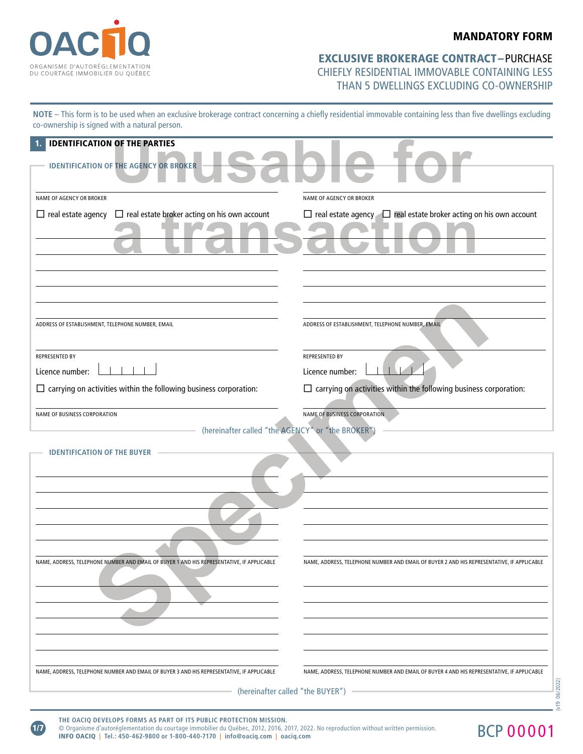

 $(1/7)$ 

# MANDATORY FORM

EXCLUSIVE BROKERAGE CONTRACT– PURCHASE CHIEFLY RESIDENTIAL IMMOVABLE CONTAINING LESS THAN 5 DWELLINGS EXCLUDING CO-OWNERSHIP

**NOTE** – This form is to be used when an exclusive brokerage contract concerning a chiefly residential immovable containing less than five dwellings excluding co-ownership is signed with a natural person.

| <b>IDENTIFICATION OF THE PARTIES</b>                                                       |                                                                                            |
|--------------------------------------------------------------------------------------------|--------------------------------------------------------------------------------------------|
| <b>IDENTIFICATION OF THE AGENCY OR BROKER</b>                                              |                                                                                            |
| NAME OF AGENCY OR BROKER                                                                   | NAME OF AGENCY OR BROKER                                                                   |
| $\Box$ real estate agency $\Box$ real estate broker acting on his own account              | $\Box$ real estate agency $\Box$ real estate broker acting on his own account              |
|                                                                                            |                                                                                            |
|                                                                                            |                                                                                            |
|                                                                                            |                                                                                            |
|                                                                                            |                                                                                            |
|                                                                                            |                                                                                            |
|                                                                                            |                                                                                            |
|                                                                                            |                                                                                            |
| ADDRESS OF ESTABLISHMENT, TELEPHONE NUMBER, EMAIL                                          | ADDRESS OF ESTABLISHMENT, TELEPHONE NUMBER, EMAIL                                          |
|                                                                                            |                                                                                            |
|                                                                                            |                                                                                            |
| REPRESENTED BY                                                                             | REPRESENTED BY                                                                             |
| Licence number:                                                                            | Licence number:                                                                            |
| $\Box$ carrying on activities within the following business corporation:                   | $\Box$ carrying on activities within the following business corporation:                   |
|                                                                                            |                                                                                            |
| NAME OF BUSINESS CORPORATION                                                               | NAME OF BUSINESS CORPORATION                                                               |
| (hereinafter called "the AGENCY" or "the BROKER")                                          |                                                                                            |
|                                                                                            |                                                                                            |
| <b>IDENTIFICATION OF THE BUYER</b>                                                         |                                                                                            |
|                                                                                            |                                                                                            |
|                                                                                            |                                                                                            |
|                                                                                            |                                                                                            |
|                                                                                            |                                                                                            |
|                                                                                            |                                                                                            |
|                                                                                            |                                                                                            |
|                                                                                            |                                                                                            |
| NAME, ADDRESS, TELEPHONE NUMBER AND EMAIL OF BUYER 1 AND HIS REPRESENTATIVE, IF APPLICABLE | NAME, ADDRESS, TELEPHONE NUMBER AND EMAIL OF BUYER 2 AND HIS REPRESENTATIVE, IF APPLICABLE |
|                                                                                            |                                                                                            |
|                                                                                            |                                                                                            |
|                                                                                            |                                                                                            |
|                                                                                            |                                                                                            |
|                                                                                            |                                                                                            |
|                                                                                            |                                                                                            |
|                                                                                            |                                                                                            |
| NAME, ADDRESS, TELEPHONE NUMBER AND EMAIL OF BUYER 3 AND HIS REPRESENTATIVE, IF APPLICABLE | NAME, ADDRESS, TELEPHONE NUMBER AND EMAIL OF BUYER 4 AND HIS REPRESENTATIVE, IF APPLICABLE |
| (hereinafter called "the BUYER")                                                           |                                                                                            |
|                                                                                            |                                                                                            |

(v19 06/2022)

v19 06/2022)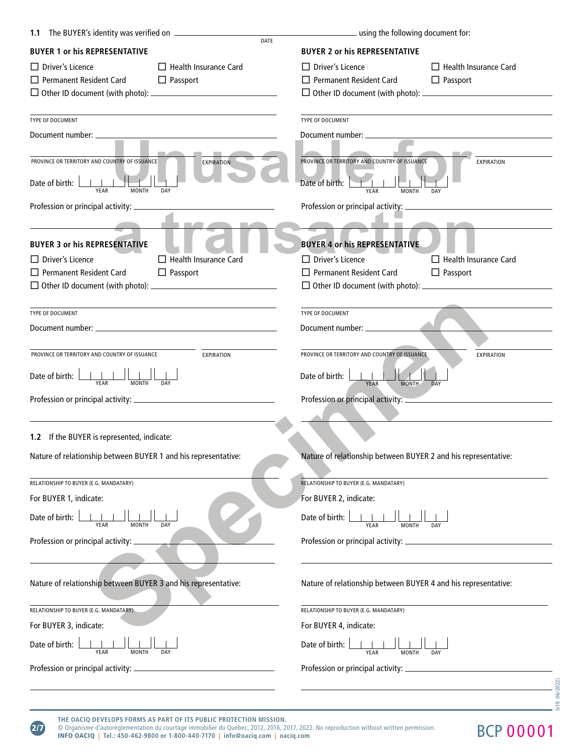| 1.1 The BUYER's identity was verified on <b>contract the SUYER's</b> identity was verified on<br>DATE | using the following document for:                                            |
|-------------------------------------------------------------------------------------------------------|------------------------------------------------------------------------------|
| <b>BUYER 1 or his REPRESENTATIVE</b>                                                                  | <b>BUYER 2 or his REPRESENTATIVE</b>                                         |
| $\Box$ Health Insurance Card<br>$\Box$ Driver's Licence                                               | $\Box$ Driver's Licence<br>$\Box$ Health Insurance Card                      |
| $\Box$ Permanent Resident Card<br>$\Box$ Passport                                                     | $\Box$ Permanent Resident Card<br>$\Box$ Passport                            |
|                                                                                                       |                                                                              |
| TYPE OF DOCUMENT                                                                                      | TYPE OF DOCUMENT                                                             |
|                                                                                                       |                                                                              |
|                                                                                                       |                                                                              |
| PROVINCE OR TERRITORY AND COUNTRY OF ISSUANCE<br><b>EXPIRATION</b>                                    | PROVINCE OR TERRITORY AND COUNTRY OF ISSUANCE<br><b>EXPIRATION</b>           |
| Date of birth:                                                                                        | Date of birth:                                                               |
| <b>MONTH</b><br>YEAR<br>DAY                                                                           | <b>MONTH</b><br>YEAR<br>DAY                                                  |
|                                                                                                       |                                                                              |
|                                                                                                       |                                                                              |
| <b>BUYER 3 or his REPRESENTATIVE</b>                                                                  | <b>BUYER 4 or his REPRESENTATIVE</b>                                         |
| Health Insurance Card<br>$\Box$ Driver's Licence                                                      | □ Health Insurance Card<br>$\Box$ Driver's Licence                           |
| $\Box$ Permanent Resident Card<br>$\Box$ Passport                                                     | $\Box$ Permanent Resident Card<br>$\Box$ Passport                            |
| □ Other ID document (with photo): <u>_______________________________</u>                              | □ Other ID document (with photo): <u>■ △ Other ID document</u> (with photo): |
| TYPE OF DOCUMENT                                                                                      | TYPE OF DOCUMENT                                                             |
|                                                                                                       | Document number: ______________                                              |
|                                                                                                       |                                                                              |
| PROVINCE OR TERRITORY AND COUNTRY OF ISSUANCE<br>EXPIRATION                                           | PROVINCE OR TERRITORY AND COUNTRY OF ISSUANCE<br>EXPIRATION                  |
| Date of birth:<br><b>MONTH</b><br>YEAR<br>DAY                                                         | Date of birth:<br>YEAR<br><b>MONTH</b><br>DAY                                |
|                                                                                                       | Profession or principal activity:                                            |
|                                                                                                       |                                                                              |
| 1.2 If the BUYER is represented, indicate:                                                            |                                                                              |
| Nature of relationship between BUYER 1 and his representative:                                        | Nature of relationship between BUYER 2 and his representative:               |
|                                                                                                       |                                                                              |
| RELATIONSHIP TO BUYER (E.G. MANDATARY)                                                                | RELATIONSHIP TO BUYER (E.G. MANDATARY)                                       |
| For BUYER 1, indicate:                                                                                | For BUYER 2, indicate:                                                       |
| Date of birth:<br>YEAR<br><b>MONTH</b><br>DAY                                                         | Date of birth:<br>YEAR<br><b>MONTH</b><br>DAY                                |
| Profession or principal activity: _                                                                   |                                                                              |
|                                                                                                       |                                                                              |
|                                                                                                       |                                                                              |
| Nature of relationship between BUYER 3 and his representative:                                        | Nature of relationship between BUYER 4 and his representative:               |
| RELATIONSHIP TO BUYER (E.G. MANDATARY)                                                                | RELATIONSHIP TO BUYER (E.G. MANDATARY)                                       |
| For BUYER 3, indicate:                                                                                | For BUYER 4, indicate:                                                       |
| Date of birth:<br>YEAR<br>DAY<br><b>MONTH</b>                                                         | Date of birth:<br>YEAR<br><b>MONTH</b><br>DAY                                |
|                                                                                                       |                                                                              |
|                                                                                                       |                                                                              |
|                                                                                                       |                                                                              |
|                                                                                                       |                                                                              |

2/7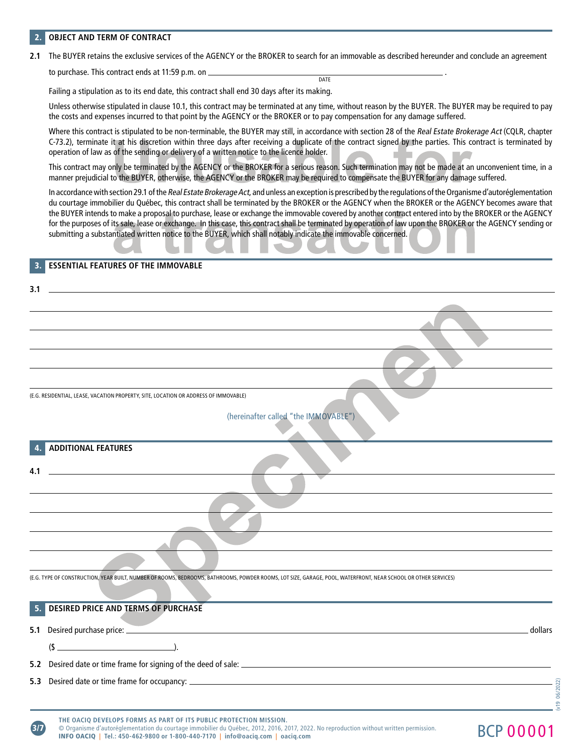## 2. **OBJECT AND TERM OF CONTRACT**

3/7

**2.1** The BUYER retains the exclusive services of the AGENCY or the BROKER to search for an immovable as described hereunder and conclude an agreement

to purchase. This contract ends at 11:59 p.m. on .

Failing a stipulation as to its end date, this contract shall end 30 days after its making.

Unless otherwise stipulated in clause 10.1, this contract may be terminated at any time, without reason by the BUYER. The BUYER may be required to pay the costs and expenses incurred to that point by the AGENCY or the BROKER or to pay compensation for any damage suffered.

DATE

Where this contract is stipulated to be non-terminable, the BUYER may still, in accordance with section 28 of the Real Estate Brokerage Act (CQLR, chapter C-73.2), terminate it at his discretion within three days after receiving a duplicate of the contract signed by the parties. This contract is terminated by operation of law as of the sending or delivery of a written notice to the licence holder.

This contract may only be terminated by the AGENCY or the BROKER for a serious reason. Such termination may not be made at an unconvenient time, in a manner prejudicial to the BUYER, otherwise, the AGENCY or the BROKER may be required to compensate the BUYER for any damage suffered.

In accordance with section 29.1 of the Real Estate Brokerage Act, and unless an exception is prescribed by the regulations of the Organisme d'autoréglementation du courtage immobilier du Québec, this contract shall be terminated by the BROKER or the AGENCY when the BROKER or the AGENCY becomes aware that the BUYER intends to make a proposal to purchase, lease or exchange the immovable covered by another contract entered into by the BROKER or the AGENCY for the purposes of its sale, lease or exchange. In this case, this contract shall be terminated by operation of law upon the BROKER or the AGENCY sending or submitting a substantiated written notice to the BUYER, which shall notably indicate the immovable concerned.

| 3.  | <b>ESSENTIAL FEATURES OF THE IMMOVABLE</b>                                                                                                                                                                                          |         |
|-----|-------------------------------------------------------------------------------------------------------------------------------------------------------------------------------------------------------------------------------------|---------|
| 3.1 |                                                                                                                                                                                                                                     |         |
|     |                                                                                                                                                                                                                                     |         |
|     |                                                                                                                                                                                                                                     |         |
|     |                                                                                                                                                                                                                                     |         |
|     |                                                                                                                                                                                                                                     |         |
|     |                                                                                                                                                                                                                                     |         |
|     | (E.G. RESIDENTIAL, LEASE, VACATION PROPERTY, SITE, LOCATION OR ADDRESS OF IMMOVABLE)                                                                                                                                                |         |
|     | (hereinafter called "the IMMOVABLE")                                                                                                                                                                                                |         |
|     |                                                                                                                                                                                                                                     |         |
|     | <b>ADDITIONAL FEATURES</b>                                                                                                                                                                                                          |         |
| 4.1 |                                                                                                                                                                                                                                     |         |
|     |                                                                                                                                                                                                                                     |         |
|     |                                                                                                                                                                                                                                     |         |
|     |                                                                                                                                                                                                                                     |         |
|     |                                                                                                                                                                                                                                     |         |
|     |                                                                                                                                                                                                                                     |         |
|     | (E.G. TYPE OF CONSTRUCTION, YEAR BUILT, NUMBER OF ROOMS, BEDROOMS, BATHROOMS, POWDER ROOMS, LOT SIZE, GARAGE, POOL, WATERFRONT, NEAR SCHOOL OR OTHER SERVICES)                                                                      |         |
|     |                                                                                                                                                                                                                                     |         |
| 5.  | <b>DESIRED PRICE AND TERMS OF PURCHASE</b>                                                                                                                                                                                          |         |
|     | 5.1 Desired purchase price: <u>Contract Communications</u> and Contract Contract Contract Contract Contract Contract Contract Contract Contract Contract Contract Contract Contract Contract Contract Contract Contract Contract Co | dollars |
|     | $($ \$ $)$                                                                                                                                                                                                                          |         |
| 5.2 |                                                                                                                                                                                                                                     |         |
|     | 5.3 Desired date or time frame for occupancy: ___________________________________                                                                                                                                                   |         |
|     |                                                                                                                                                                                                                                     |         |
|     |                                                                                                                                                                                                                                     |         |

(v19 06/2022)

06/2022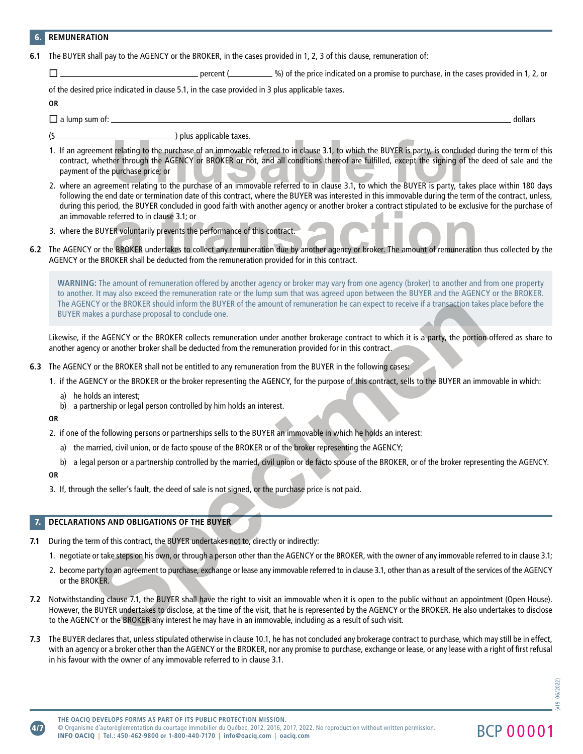# 6. **REMUNERATION**

**6.1** The BUYER shall pay to the AGENCY or the BROKER, in the cases provided in 1, 2, 3 of this clause, remuneration of:

percent ( %) of the price indicated on a promise to purchase, in the cases provided in 1, 2, or

of the desired price indicated in clause 5.1, in the case provided in 3 plus applicable taxes.

| OR                                                    |        |
|-------------------------------------------------------|--------|
| $\overline{\phantom{0}}$<br>າ sum<br>lump<br>OT:<br>_ | dollar |

- (\$ ) plus applicable taxes.
- 1. If an agreement relating to the purchase of an immovable referred to in clause 3.1, to which the BUYER is party, is concluded during the term of this contract, whether through the AGENCY or BROKER or not, and all conditions thereof are fulfilled, except the signing of the deed of sale and the payment of the purchase price; or

2. where an agreement relating to the purchase of an immovable referred to in clause 3.1, to which the BUYER is party, takes place within 180 days following the end date or termination date of this contract, where the BUYER was interested in this immovable during the term of the contract, unless, during this period, the BUYER concluded in good faith with another agency or another broker a contract stipulated to be exclusive for the purchase of an immovable referred to in clause 3.1; or

- 3. where the BUYER voluntarily prevents the performance of this contract.
- **6.2** The AGENCY or the BROKER undertakes to collect any remuneration due by another agency or broker. The amount of remuneration thus collected by the AGENCY or the BROKER shall be deducted from the remuneration provided for in this contract.

**WARNING:** The amount of remuneration offered by another agency or broker may vary from one agency (broker) to another and from one property to another. It may also exceed the remuneration rate or the lump sum that was agreed upon between the BUYER and the AGENCY or the BROKER. The AGENCY or the BROKER should inform the BUYER of the amount of remuneration he can expect to receive if a transaction takes place before the BUYER makes a purchase proposal to conclude one.

Likewise, if the AGENCY or the BROKER collects remuneration under another brokerage contract to which it is a party, the portion offered as share to another agency or another broker shall be deducted from the remuneration provided for in this contract.

- **6.3** The AGENCY or the BROKER shall not be entitled to any remuneration from the BUYER in the following cases:
	- 1. if the AGENCY or the BROKER or the broker representing the AGENCY, for the purpose of this contract, sells to the BUYER an immovable in which:
		- a) he holds an interest;
		- b) a partnership or legal person controlled by him holds an interest.
	- **OR**
	- 2. if one of the following persons or partnerships sells to the BUYER an immovable in which he holds an interest:
		- a) the married, civil union, or de facto spouse of the BROKER or of the broker representing the AGENCY;
		- b) a legal person or a partnership controlled by the married, civil union or de facto spouse of the BROKER, or of the broker representing the AGENCY.

**OR**

3. If, through the seller's fault, the deed of sale is not signed, or the purchase price is not paid.

## 7. **DECLARATIONS AND OBLIGATIONS OF THE BUYER**

- **7.1** During the term of this contract, the BUYER undertakes not to, directly or indirectly:
	- 1. negotiate or take steps on his own, or through a person other than the AGENCY or the BROKER, with the owner of any immovable referred to in clause 3.1;
	- 2. become party to an agreement to purchase, exchange or lease any immovable referred to in clause 3.1, other than as a result of the services of the AGENCY or the BROKER.
- **7.2** Notwithstanding clause 7.1, the BUYER shall have the right to visit an immovable when it is open to the public without an appointment (Open House). However, the BUYER undertakes to disclose, at the time of the visit, that he is represented by the AGENCY or the BROKER. He also undertakes to disclose to the AGENCY or the BROKER any interest he may have in an immovable, including as a result of such visit.
- **7.3** The BUYER declares that, unless stipulated otherwise in clause 10.1, he has not concluded any brokerage contract to purchase, which may still be in effect, with an agency or a broker other than the AGENCY or the BROKER, nor any promise to purchase, exchange or lease, or any lease with a right of first refusal in his favour with the owner of any immovable referred to in clause 3.1.

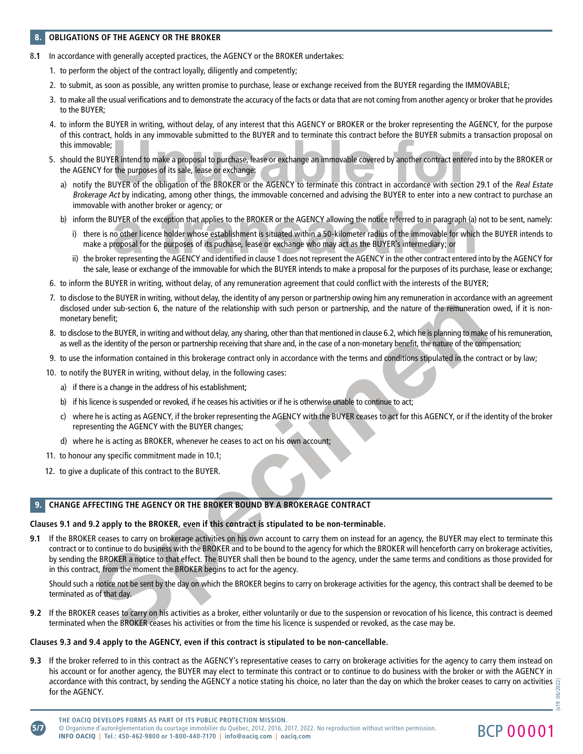## 8. **OBLIGATIONS OF THE AGENCY OR THE BROKER**

- 8**.1** In accordance with generally accepted practices, the AGENCY or the BROKER undertakes:
	- 1. to perform the object of the contract loyally, diligently and competently;
	- 2. to submit, as soon as possible, any written promise to purchase, lease or exchange received from the BUYER regarding the IMMOVABLE;
	- 3. to make all the usual verifications and to demonstrate the accuracy of the facts or data that are not coming from another agency or broker that he provides to the BUYER;
	- 4. to inform the BUYER in writing, without delay, of any interest that this AGENCY or BROKER or the broker representing the AGENCY, for the purpose of this contract, holds in any immovable submitted to the BUYER and to terminate this contract before the BUYER submits a transaction proposal on this immovable;
	- 5. should the BUYER intend to make a proposal to purchase, lease or exchange an immovable covered by another contract entered into by the BROKER or the AGENCY for the purposes of its sale, lease or exchange:
		- a) notify the BUYER of the obligation of the BROKER or the AGENCY to terminate this contract in accordance with section 29.1 of the Real Estate Brokerage Act by indicating, among other things, the immovable concerned and advising the BUYER to enter into a new contract to purchase an immovable with another broker or agency; or
		- b) inform the BUYER of the exception that applies to the BROKER or the AGENCY allowing the notice referred to in paragraph (a) not to be sent, namely:
			- i) there is no other licence holder whose establishment is situated within a 50-kilometer radius of the immovable for which the BUYER intends to make a proposal for the purposes of its puchase, lease or exchange who may act as the BUYER's intermediary; or
			- ii) the broker representing the AGENCY and identified in clause 1 does not represent the AGENCY in the other contract entered into by the AGENCY for the sale, lease or exchange of the immovable for which the BUYER intends to make a proposal for the purposes of its purchase, lease or exchange;
	- 6. to inform the BUYER in writing, without delay, of any remuneration agreement that could conflict with the interests of the BUYER;
	- 7. to disclose to the BUYER in writing, without delay, the identity of any person or partnership owing him any remuneration in accordance with an agreement disclosed under sub-section 6, the nature of the relationship with such person or partnership, and the nature of the remuneration owed, if it is nonmonetary benefit;
	- 8. to disclose to the BUYER, in writing and without delay, any sharing, other than that mentioned in clause 6.2, which he is planning to make of his remuneration, as well as the identity of the person or partnership receiving that share and, in the case of a non-monetary benefit, the nature of the compensation;
	- 9. to use the information contained in this brokerage contract only in accordance with the terms and conditions stipulated in the contract or by law;
	- 10. to notify the BUYER in writing, without delay, in the following cases:
		- a) if there is a change in the address of his establishment;
		- b) if his licence is suspended or revoked, if he ceases his activities or if he is otherwise unable to continue to act;
		- c) where he is acting as AGENCY, if the broker representing the AGENCY with the BUYER ceases to act for this AGENCY, or if the identity of the broker representing the AGENCY with the BUYER changes;
		- d) where he is acting as BROKER, whenever he ceases to act on his own account;
	- 11. to honour any specific commitment made in 10.1;
	- 12. to give a duplicate of this contract to the BUYER.

5/7

# 9. **CHANGE AFFECTING THE AGENCY OR THE BROKER BOUND BY A BROKERAGE CONTRACT**

# **Clauses 9.1 and 9.2 apply to the BROKER, even if this contract is stipulated to be non-terminable.**

**9.1** If the BROKER ceases to carry on brokerage activities on his own account to carry them on instead for an agency, the BUYER may elect to terminate this contract or to continue to do business with the BROKER and to be bound to the agency for which the BROKER will henceforth carry on brokerage activities, by sending the BROKER a notice to that effect. The BUYER shall then be bound to the agency, under the same terms and conditions as those provided for in this contract, from the moment the BROKER begins to act for the agency.

Should such a notice not be sent by the day on which the BROKER begins to carry on brokerage activities for the agency, this contract shall be deemed to be terminated as of that day.

**9.2** If the BROKER ceases to carry on his activities as a broker, either voluntarily or due to the suspension or revocation of his licence, this contract is deemed terminated when the BROKER ceases his activities or from the time his licence is suspended or revoked, as the case may be.

# **Clauses 9.3 and 9.4 apply to the AGENCY, even if this contract is stipulated to be non-cancellable.**

(v19 06/2022) **9.3** If the broker referred to in this contract as the AGENCY's representative ceases to carry on brokerage activities for the agency to carry them instead on his account or for another agency, the BUYER may elect to terminate this contract or to continue to do business with the broker or with the AGENCY in accordance with this contract, by sending the AGENCY a notice stating his choice, no later than the day on which the broker ceases to carry on activities  $\frac{8}{8}$ for the AGENCY.

BCP 00001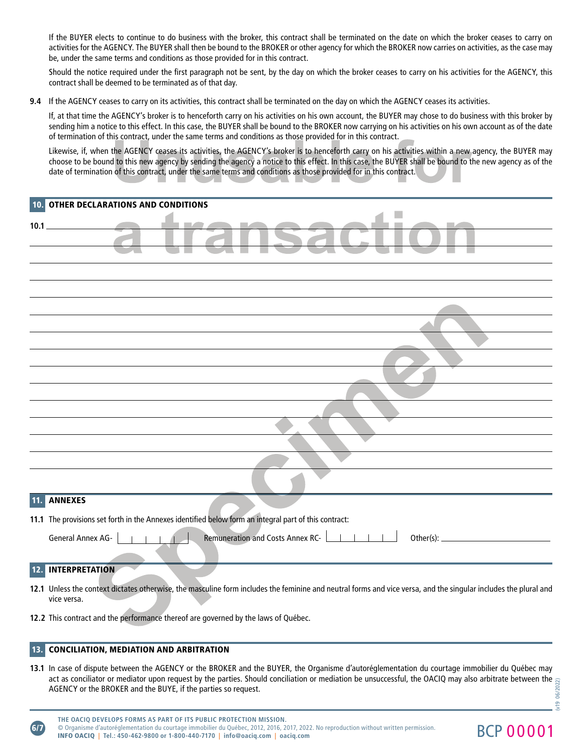If the BUYER elects to continue to do business with the broker, this contract shall be terminated on the date on which the broker ceases to carry on activities for the AGENCY. The BUYER shall then be bound to the BROKER or other agency for which the BROKER now carries on activities, as the case may be, under the same terms and conditions as those provided for in this contract.

Should the notice required under the first paragraph not be sent, by the day on which the broker ceases to carry on his activities for the AGENCY, this contract shall be deemed to be terminated as of that day.

**9.4** If the AGENCY ceases to carry on its activities, this contract shall be terminated on the day on which the AGENCY ceases its activities.

If, at that time the AGENCY's broker is to henceforth carry on his activities on his own account, the BUYER may chose to do business with this broker by sending him a notice to this effect. In this case, the BUYER shall be bound to the BROKER now carrying on his activities on his own account as of the date of termination of this contract, under the same terms and conditions as those provided for in this contract.

Likewise, if, when the AGENCY ceases its activities, the AGENCY's broker is to henceforth carry on his activities within a new agency, the BUYER may choose to be bound to this new agency by sending the agency a notice to this effect. In this case, the BUYER shall be bound to the new agency as of the date of termination of this contract, under the same terms and conditions as those provided for in this contract.

| <b>10. OTHER DECLARATIONS AND CONDITIONS</b>                                                                                                                                   |  |  |
|--------------------------------------------------------------------------------------------------------------------------------------------------------------------------------|--|--|
| $10.1$ $\qquad \qquad$                                                                                                                                                         |  |  |
|                                                                                                                                                                                |  |  |
|                                                                                                                                                                                |  |  |
|                                                                                                                                                                                |  |  |
|                                                                                                                                                                                |  |  |
|                                                                                                                                                                                |  |  |
|                                                                                                                                                                                |  |  |
|                                                                                                                                                                                |  |  |
|                                                                                                                                                                                |  |  |
|                                                                                                                                                                                |  |  |
|                                                                                                                                                                                |  |  |
|                                                                                                                                                                                |  |  |
|                                                                                                                                                                                |  |  |
|                                                                                                                                                                                |  |  |
| 11. ANNEXES                                                                                                                                                                    |  |  |
| 11.1 The provisions set forth in the Annexes identified below form an integral part of this contract:                                                                          |  |  |
| $1 + 1 + 4$<br>Remuneration and Costs Annex RC-<br><u> Light</u> <sub>1</sub><br>Other(s): $\overline{\qquad \qquad }$<br>General Annex AG-                                    |  |  |
|                                                                                                                                                                                |  |  |
| 12. INTERPRETATION                                                                                                                                                             |  |  |
| 12.1 Unless the context dictates otherwise, the masculine form includes the feminine and neutral forms and vice versa, and the singular includes the plural and<br>vice versa. |  |  |
| 12.2 This contract and the performance thereof are governed by the laws of Québec.                                                                                             |  |  |

# 13. CONCILIATION, MEDIATION AND ARBITRATION

6/7

(v19 06/2022) **13.1** In case of dispute between the AGENCY or the BROKER and the BUYER, the Organisme d'autoréglementation du courtage immobilier du Québec may act as conciliator or mediator upon request by the parties. Should conciliation or mediation be unsuccessful, the OACIQ may also arbitrate between the AGENCY or the BROKER and the BUYE, if the parties so request.

 $\frac{9}{2}$